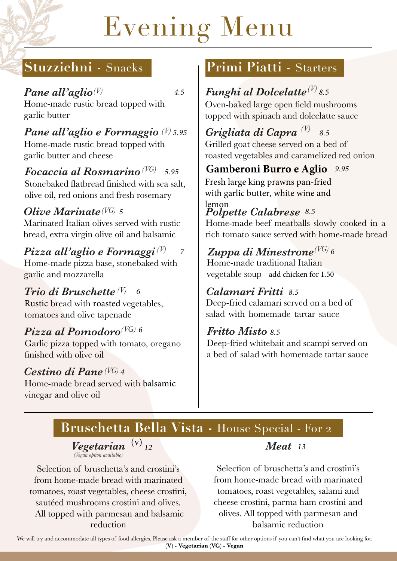# Evening Menu

# **Stuzzichni -** Snacks

*4.5*

*Pane all'aglio (V)* Home-made rustic bread topped with garlic butter

*Pane all'aglio e Formaggio 5.95 (V)* Home-made rustic bread topped with garlic butter and cheese

 $\bm{Focaccia}$  al  $\bm{Rosmarino}$  (VG)  $\,$  5.95 Stonebaked flatbread finished with sea salt, olive oil, red onions and fresh rosemary

## *Olive Marinate* (VG) 5

Marinated Italian olives served with rustic bread, extra virgin olive oil and balsamic

#### *Pizza all'aglio e Formaggi (V) 7*

Home-made pizza base, stonebaked with garlic and mozzarella

#### *Trio di Bruschette (V) 6*

Rustic bread with roasted vegetables, tomatoes and olive tapenade

# $\bm{P}$ izza al Pomodoro $^{(\bm{VG})}$  <sup>6</sup>

Garlic pizza topped with tomato, oregano finished with olive oil

#### *Cestino di Pane 4 (VG)*

Home-made bread served with balsamic vinegar and olive oil

# **Primi Piatti -** Starters

# $\boldsymbol{F}$ unghi al Dolcelatte $^{(V)}$ 8.5

Oven-baked large open field mushrooms topped with spinach and dolcelatte sauce

*Grigliata di Capra (V)* Grilled goat cheese served on a bed of roasted vegetables and caramelized red onion *8.5*

# *9.95* **Gamberoni Burro e Aglio**

Fresh large king prawns pan-fried with garlic butter, white wine and lemon

# *Polpette Calabrese 8.5*

Home-made beef meatballs slowly cooked in a rich tomato sauce served with home-made bread

## $\boldsymbol{Z}$ uppa di Minestrone $^{(VG)}$  6

Home-made traditional Italian vegetable soup add chicken for 1.50

#### *Calamari Fritti 8. 5*

Deep-fried calamari served on a bed of salad with homemade tartar sauce

#### *Fritto Misto 8.5*

Deep-fried whitebait and scampi served on a bed of salad with homemade tartar sauce

# **Bruschetta Bella Vista -** House Special - For 2

*Vegetarian (Vegan option available)*  (v)

Selection of bruschetta's and crostini's from home-made bread with marinated tomatoes, roast vegetables, cheese crostini, sautéed mushrooms crostini and olives. All topped with parmesan and balsamic reduction

#### *12 Meat 13*

Selection of bruschetta's and crostini's from home-made bread with marinated tomatoes, roast vegetables, salami and cheese crostini, parma ham crostini and olives. All topped with parmesan and balsamic reduction

We will try and accommodate all types of food allergies. Please ask a member of the staff for other options if you can't find what you are looking for. **(V) - Vegetarian (VG) - Vegan**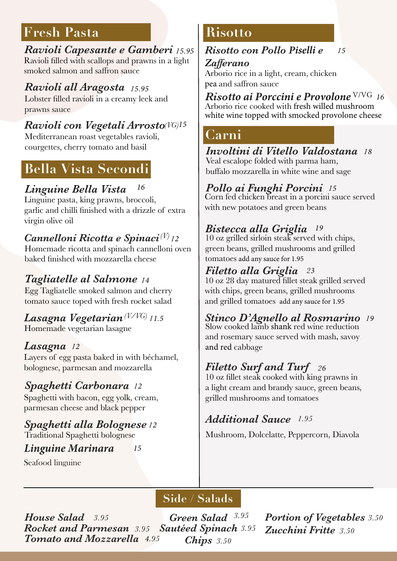# **Fresh Pasta**

*Ravioli Capesante e Gamberi 15.95* Ravioli filled with scallops and prawns in a light smoked salmon and saffron sauce

*Ravioli all Aragosta 15.95* Lobster filled ravioli in a creamy leek and prawns sauce

## *Ravioli con Vegetali Arrosto 15 (VG)*

Mediterranean roast vegetables ravioli, courgettes, cherry tomato and basil

# **Bella Vista Secondi**

#### *Linguine Bella Vista 16*

Linguine pasta, king prawns, broccoli, garlic and chilli finished with a drizzle of extra virgin olive oil

#### *Cannelloni Ricotta e Spinaci 12 (V)*

Homemade ricotta and spinach cannelloni oven baked finished with mozzarella cheese

#### *Tagliatelle al Salmone 14*

Egg Tagliatelle smoked salmon and cherry tomato sauce toped with fresh rocket salad

#### $\boldsymbol{Lasagna\ Vegetarian}$  (V/VG) <sub>11.5</sub> Homemade vegetarian lasagne

#### *Lasagna 12*

Layers of egg pasta baked in with béchamel, bolognese, parmesan and mozzarella

#### *Spaghetti Carbonara 12*

Spaghetti with bacon, egg yolk, cream, parmesan cheese and black pepper

# *Spaghetti alla Bolognese 12*

Traditional Spaghetti bolognese

#### *Linguine Marinara 15*

Seafood linguine

# **Risotto**

*Risotto con Pollo Piselli e Zafferano 15*

Arborio rice in a light, cream, chicken pea and saffron sauce

 $\boldsymbol{R}$ isotto ai Porccini e Provolone <sup>V/VG</sup> 16 Arborio rice cooked with fresh willed mushroom white wine topped with smocked provolone cheese

### **Carni**

#### *Involtini di Vitello Valdostana 18* Veal escalope folded with parma ham,

buffalo mozzarella in white wine and sage

#### *Pollo ai Funghi Porcini 15*

Corn fed chicken breast in a porcini sauce served with new potatoes and green beans

#### *Bistecca alla Griglia 19*

10 oz grilled sirloin steak served with chips, green beans, grilled mushrooms and grilled tomatoes add any sauce for 1.95

#### *Filetto alla Griglia 23*

10 oz 28 day matured fillet steak grilled served with chips, green beans, grilled mushrooms and grilled tomatoes add any sauce for 1.95

## *Stinco D'Agnello al Rosmarino 19*

Slow cooked lamb shank red wine reduction and rosemary sauce served with mash, savoy and red cabbage

#### *Filetto Surf and Turf 26*

10 oz fillet steak cooked with king prawns in a light cream and brandy sauce, green beans, grilled mushrooms and tomatoes

#### *Additional Sauce 1.95*

Mushroom, Dolcelatte, Peppercorn, Diavola

# **Side / Salads**

*Sautéed Spinach 3.95 Chips 3.50 House Salad* 3.95 *Green Salad Rocket and Parmesan 3.95 Tomato and Mozzarella 4.95* Green Salad 3.95

*Portion of Vegetables 3.50 Zucchini Fritte 3.50*